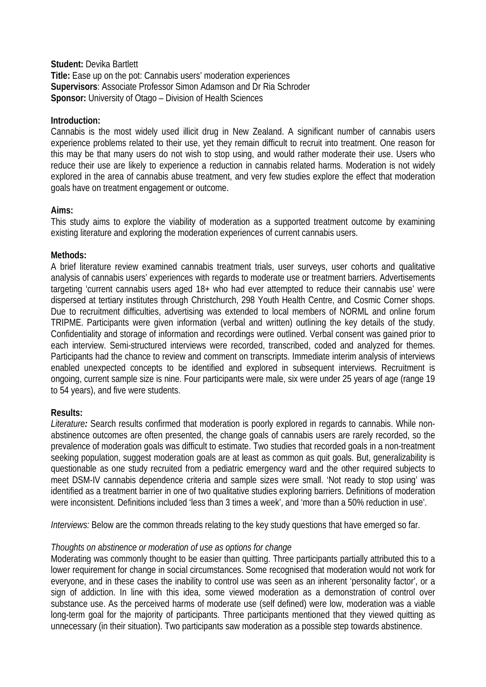**Student:** Devika Bartlett **Title:** Ease up on the pot: Cannabis users' moderation experiences **Supervisors**: Associate Professor Simon Adamson and Dr Ria Schroder **Sponsor:** University of Otago – Division of Health Sciences

### **Introduction:**

Cannabis is the most widely used illicit drug in New Zealand. A significant number of cannabis users experience problems related to their use, yet they remain difficult to recruit into treatment. One reason for this may be that many users do not wish to stop using, and would rather moderate their use. Users who reduce their use are likely to experience a reduction in cannabis related harms. Moderation is not widely explored in the area of cannabis abuse treatment, and very few studies explore the effect that moderation goals have on treatment engagement or outcome.

# **Aims:**

This study aims to explore the viability of moderation as a supported treatment outcome by examining existing literature and exploring the moderation experiences of current cannabis users.

### **Methods:**

A brief literature review examined cannabis treatment trials, user surveys, user cohorts and qualitative analysis of cannabis users' experiences with regards to moderate use or treatment barriers. Advertisements targeting 'current cannabis users aged 18+ who had ever attempted to reduce their cannabis use' were dispersed at tertiary institutes through Christchurch, 298 Youth Health Centre, and Cosmic Corner shops. Due to recruitment difficulties, advertising was extended to local members of NORML and online forum TRIPME. Participants were given information (verbal and written) outlining the key details of the study. Confidentiality and storage of information and recordings were outlined. Verbal consent was gained prior to each interview. Semi-structured interviews were recorded, transcribed, coded and analyzed for themes. Participants had the chance to review and comment on transcripts. Immediate interim analysis of interviews enabled unexpected concepts to be identified and explored in subsequent interviews. Recruitment is ongoing, current sample size is nine. Four participants were male, six were under 25 years of age (range 19 to 54 years), and five were students.

# **Results:**

*Literature:* Search results confirmed that moderation is poorly explored in regards to cannabis. While nonabstinence outcomes are often presented, the change goals of cannabis users are rarely recorded, so the prevalence of moderation goals was difficult to estimate. Two studies that recorded goals in a non-treatment seeking population, suggest moderation goals are at least as common as quit goals. But, generalizability is questionable as one study recruited from a pediatric emergency ward and the other required subjects to meet DSM-IV cannabis dependence criteria and sample sizes were small. 'Not ready to stop using' was identified as a treatment barrier in one of two qualitative studies exploring barriers. Definitions of moderation were inconsistent. Definitions included 'less than 3 times a week', and 'more than a 50% reduction in use'.

*Interviews:* Below are the common threads relating to the key study questions that have emerged so far.

# *Thoughts on abstinence or moderation of use as options for change*

Moderating was commonly thought to be easier than quitting. Three participants partially attributed this to a lower requirement for change in social circumstances. Some recognised that moderation would not work for everyone, and in these cases the inability to control use was seen as an inherent 'personality factor', or a sign of addiction. In line with this idea, some viewed moderation as a demonstration of control over substance use. As the perceived harms of moderate use (self defined) were low, moderation was a viable long-term goal for the majority of participants. Three participants mentioned that they viewed quitting as unnecessary (in their situation). Two participants saw moderation as a possible step towards abstinence.